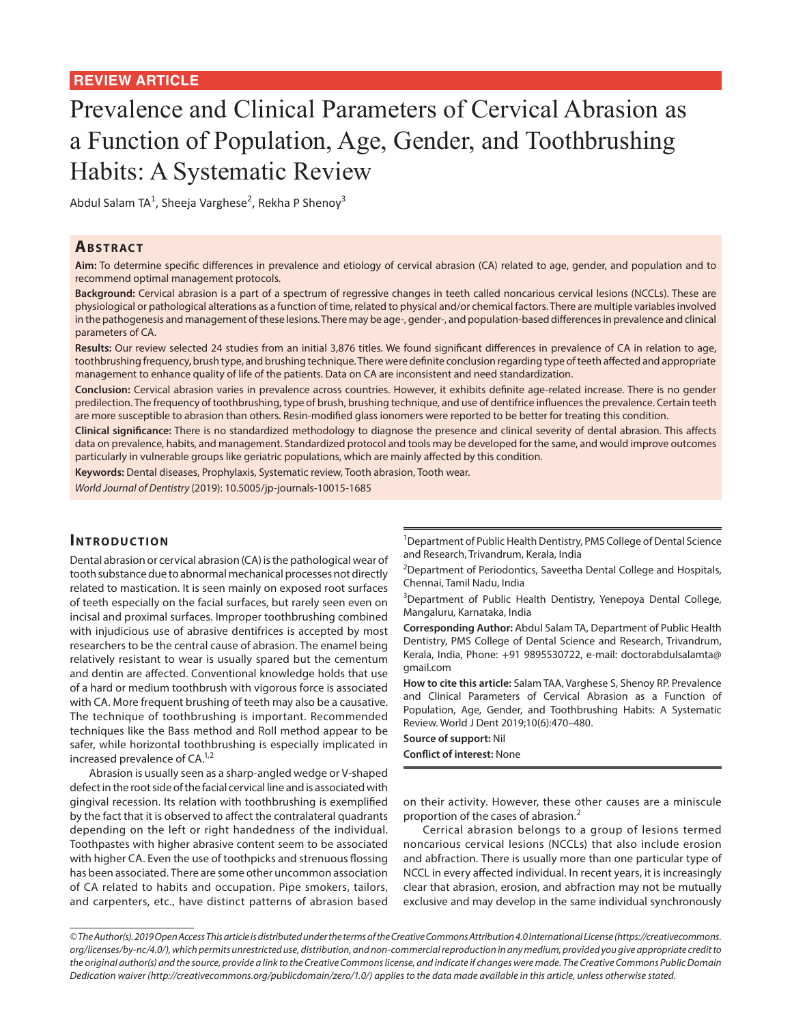# Prevalence and Clinical Parameters of Cervical Abrasion as a Function of Population, Age, Gender, and Toothbrushing Habits: A Systematic Review

Abdul Salam TA<sup>1</sup>, Sheeja Varghese<sup>2</sup>, Rekha P Shenoy<sup>3</sup>

## **ABSTRACT**

**Aim:** To determine specific differences in prevalence and etiology of cervical abrasion (CA) related to age, gender, and population and to recommend optimal management protocols.

**Background:** Cervical abrasion is a part of a spectrum of regressive changes in teeth called noncarious cervical lesions (NCCLs). These are physiological or pathological alterations as a function of time, related to physical and/or chemical factors. There are multiple variables involved in the pathogenesis and management of these lesions. There may be age-, gender-, and population-based differences in prevalence and clinical parameters of CA.

Results: Our review selected 24 studies from an initial 3,876 titles. We found significant differences in prevalence of CA in relation to age, toothbrushing frequency, brush type, and brushing technique. There were definite conclusion regarding type of teeth affected and appropriate management to enhance quality of life of the patients. Data on CA are inconsistent and need standardization.

**Conclusion:** Cervical abrasion varies in prevalence across countries. However, it exhibits definite age-related increase. There is no gender predilection. The frequency of toothbrushing, type of brush, brushing technique, and use of dentifrice influences the prevalence. Certain teeth are more susceptible to abrasion than others. Resin-modified glass ionomers were reported to be better for treating this condition.

**Clinical significance:** There is no standardized methodology to diagnose the presence and clinical severity of dental abrasion. This affects data on prevalence, habits, and management. Standardized protocol and tools may be developed for the same, and would improve outcomes particularly in vulnerable groups like geriatric populations, which are mainly affected by this condition.

**Keywords:** Dental diseases, Prophylaxis, Systematic review, Tooth abrasion, Tooth wear.

*World Journal of Dentistry* (2019): 10.5005/jp-journals-10015-1685

## **INTRODUCTION**

Dental abrasion or cervical abrasion (CA) is the pathological wear of tooth substance due to abnormal mechanical processes not directly related to mastication. It is seen mainly on exposed root surfaces of teeth especially on the facial surfaces, but rarely seen even on incisal and proximal surfaces. Improper toothbrushing combined with injudicious use of abrasive dentifrices is accepted by most researchers to be the central cause of abrasion. The enamel being relatively resistant to wear is usually spared but the cementum and dentin are affected. Conventional knowledge holds that use of a hard or medium toothbrush with vigorous force is associated with CA. More frequent brushing of teeth may also be a causative. The technique of toothbrushing is important. Recommended techniques like the Bass method and Roll method appear to be safer, while horizontal toothbrushing is especially implicated in increased prevalence of  $CA.^{1,2}$ 

Abrasion is usually seen as a sharp-angled wedge or V-shaped defect in the root side of the facial cervical line and is associated with gingival recession. Its relation with toothbrushing is exemplified by the fact that it is observed to affect the contralateral quadrants depending on the left or right handedness of the individual. Toothpastes with higher abrasive content seem to be associated with higher CA. Even the use of toothpicks and strenuous flossing has been associated. There are some other uncommon association of CA related to habits and occupation. Pipe smokers, tailors, and carpenters, etc., have distinct patterns of abrasion based

<sup>1</sup>Department of Public Health Dentistry, PMS College of Dental Science and Research, Trivandrum, Kerala, India

<sup>2</sup>Department of Periodontics, Saveetha Dental College and Hospitals, Chennai, Tamil Nadu, India

<sup>3</sup>Department of Public Health Dentistry, Yenepoya Dental College, Mangaluru, Karnataka, India

**Corresponding Author:** Abdul Salam TA, Department of Public Health Dentistry, PMS College of Dental Science and Research, Trivandrum, Kerala, India, Phone: +91 9895530722, e-mail: doctorabdulsalamta@ gmail.com

**How to cite this article:** Salam TAA, Varghese S, Shenoy RP. Prevalence and Clinical Parameters of Cervical Abrasion as a Function of Population, Age, Gender, and Toothbrushing Habits: A Systematic Review. World J Dent 2019;10(6):470–480.

**Source of support:** Nil **Conflict of interest:** None

on their activity. However, these other causes are a miniscule proportion of the cases of abrasion.<sup>2</sup>

Cerrical abrasion belongs to a group of lesions termed noncarious cervical lesions (NCCLs) that also include erosion and abfraction. There is usually more than one particular type of NCCL in every affected individual. In recent years, it is increasingly clear that abrasion, erosion, and abfraction may not be mutually exclusive and may develop in the same individual synchronously

*<sup>©</sup> The Author(s). 2019 Open Access This article is distributed under the terms of the Creative Commons Attribution 4.0 International License (https://creativecommons. org/licenses/by-nc/4.0/), which permits unrestricted use, distribution, and non-commercial reproduction in any medium, provided you give appropriate credit to the original author(s) and the source, provide a link to the Creative Commons license, and indicate if changes were made. The Creative Commons Public Domain Dedication waiver (http://creativecommons.org/publicdomain/zero/1.0/) applies to the data made available in this article, unless otherwise stated.*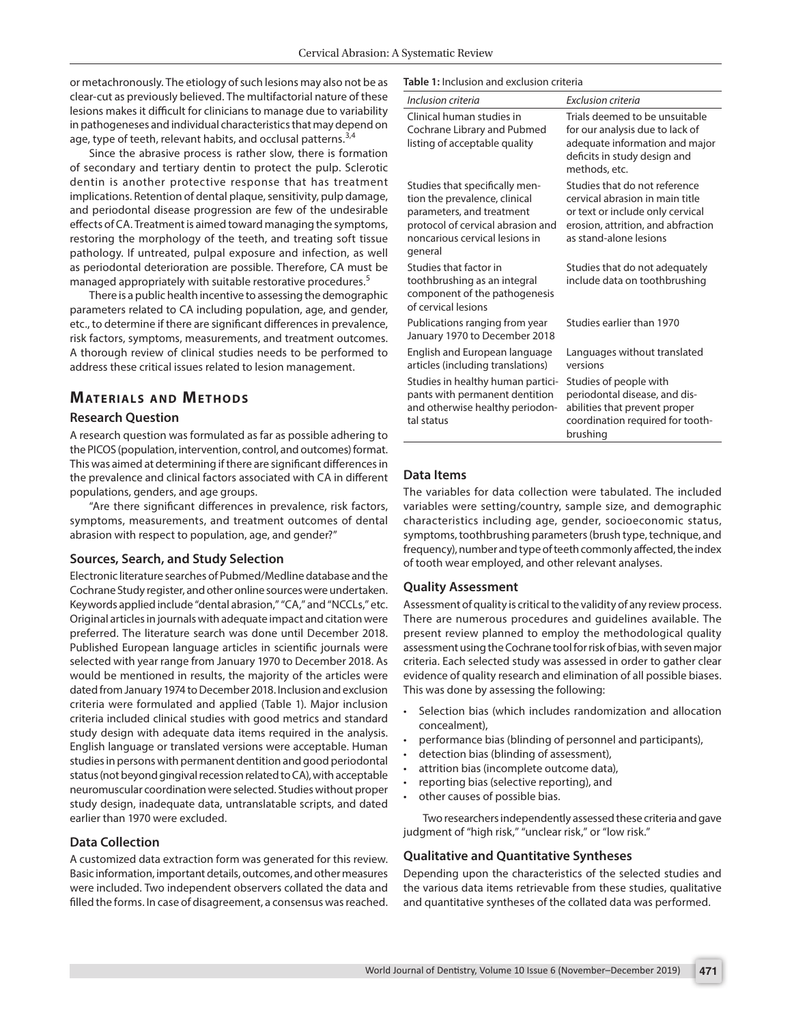or metachronously. The etiology of such lesions may also not be as clear-cut as previously believed. The multifactorial nature of these lesions makes it difficult for clinicians to manage due to variability in pathogeneses and individual characteristics that may depend on age, type of teeth, relevant habits, and occlusal patterns.<sup>3,4</sup>

Since the abrasive process is rather slow, there is formation of secondary and tertiary dentin to protect the pulp. Sclerotic dentin is another protective response that has treatment implications. Retention of dental plaque, sensitivity, pulp damage, and periodontal disease progression are few of the undesirable effects of CA. Treatment is aimed toward managing the symptoms, restoring the morphology of the teeth, and treating soft tissue pathology. If untreated, pulpal exposure and infection, as well as periodontal deterioration are possible. Therefore, CA must be managed appropriately with suitable restorative procedures.<sup>5</sup>

There is a public health incentive to assessing the demographic parameters related to CA including population, age, and gender, etc., to determine if there are significant differences in prevalence, risk factors, symptoms, measurements, and treatment outcomes. A thorough review of clinical studies needs to be performed to address these critical issues related to lesion management.

## **MATERIALS AND METHODS**

#### **Research Question**

A research question was formulated as far as possible adhering to the PICOS (population, intervention, control, and outcomes) format. This was aimed at determining if there are significant differences in the prevalence and clinical factors associated with CA in different populations, genders, and age groups.

"Are there significant differences in prevalence, risk factors, symptoms, measurements, and treatment outcomes of dental abrasion with respect to population, age, and gender?"

#### **Sources, Search, and Study Selection**

Electronic literature searches of Pubmed/Medline database and the Cochrane Study register, and other online sources were undertaken. Keywords applied include "dental abrasion," "CA," and "NCCLs," etc. Original articles in journals with adequate impact and citation were preferred. The literature search was done until December 2018. Published European language articles in scientific journals were selected with year range from January 1970 to December 2018. As would be mentioned in results, the majority of the articles were dated from January 1974 to December 2018. Inclusion and exclusion criteria were formulated and applied (Table 1). Major inclusion criteria included clinical studies with good metrics and standard study design with adequate data items required in the analysis. English language or translated versions were acceptable. Human studies in persons with permanent dentition and good periodontal status (not beyond gingival recession related to CA), with acceptable neuromuscular coordination were selected. Studies without proper study design, inadequate data, untranslatable scripts, and dated earlier than 1970 were excluded.

#### **Data Collection**

A customized data extraction form was generated for this review. Basic information, important details, outcomes, and other measures were included. Two independent observers collated the data and filled the forms. In case of disagreement, a consensus was reached.

#### **Table 1:** Inclusion and exclusion criteria

| Inclusion criteria                                                                                                                                                             | Exclusion criteria                                                                                                                                                   |
|--------------------------------------------------------------------------------------------------------------------------------------------------------------------------------|----------------------------------------------------------------------------------------------------------------------------------------------------------------------|
| Clinical human studies in<br>Cochrane Library and Pubmed<br>listing of acceptable quality                                                                                      | Trials deemed to be unsuitable<br>for our analysis due to lack of<br>adequate information and major<br>deficits in study design and<br>methods, etc.                 |
| Studies that specifically men-<br>tion the prevalence, clinical<br>parameters, and treatment<br>protocol of cervical abrasion and<br>noncarious cervical lesions in<br>general | Studies that do not reference<br>cervical abrasion in main title<br>or text or include only cervical<br>erosion, attrition, and abfraction<br>as stand-alone lesions |
| Studies that factor in<br>toothbrushing as an integral<br>component of the pathogenesis<br>of cervical lesions                                                                 | Studies that do not adequately<br>include data on toothbrushing                                                                                                      |
| Publications ranging from year<br>January 1970 to December 2018                                                                                                                | Studies earlier than 1970                                                                                                                                            |
| English and European language<br>articles (including translations)                                                                                                             | Languages without translated<br>versions                                                                                                                             |
| Studies in healthy human partici-<br>pants with permanent dentition<br>and otherwise healthy periodon-<br>tal status                                                           | Studies of people with<br>periodontal disease, and dis-<br>abilities that prevent proper<br>coordination required for tooth-<br>brushing                             |

#### **Data Items**

The variables for data collection were tabulated. The included variables were setting/country, sample size, and demographic characteristics including age, gender, socioeconomic status, symptoms, toothbrushing parameters (brush type, technique, and frequency), number and type of teeth commonly affected, the index of tooth wear employed, and other relevant analyses.

#### **Quality Assessment**

Assessment of quality is critical to the validity of any review process. There are numerous procedures and guidelines available. The present review planned to employ the methodological quality assessment using the Cochrane tool for risk of bias, with seven major criteria. Each selected study was assessed in order to gather clear evidence of quality research and elimination of all possible biases. This was done by assessing the following:

- Selection bias (which includes randomization and allocation concealment),
- performance bias (blinding of personnel and participants),
- detection bias (blinding of assessment),
- attrition bias (incomplete outcome data),
- reporting bias (selective reporting), and
- other causes of possible bias.

Two researchers independently assessed these criteria and gave judgment of "high risk," "unclear risk," or "low risk."

#### **Qualitative and Quantitative Syntheses**

Depending upon the characteristics of the selected studies and the various data items retrievable from these studies, qualitative and quantitative syntheses of the collated data was performed.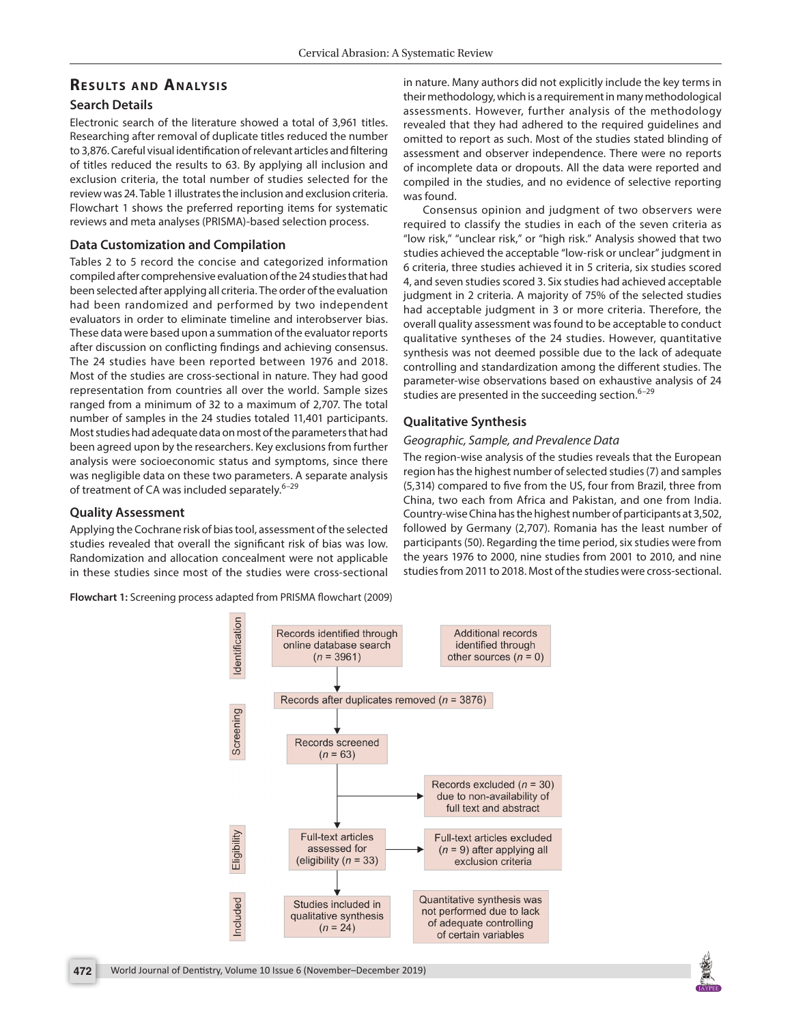# **RESULTS AND ANALYSIS**

## **Search Details**

Electronic search of the literature showed a total of 3,961 titles. Researching after removal of duplicate titles reduced the number to 3,876. Careful visual identification of relevant articles and filtering of titles reduced the results to 63. By applying all inclusion and exclusion criteria, the total number of studies selected for the review was 24. Table 1 illustrates the inclusion and exclusion criteria. Flowchart 1 shows the preferred reporting items for systematic reviews and meta analyses (PRISMA)-based selection process.

## **Data Customization and Compilation**

Tables 2 to 5 record the concise and categorized information compiled after comprehensive evaluation of the 24 studies that had been selected after applying all criteria. The order of the evaluation had been randomized and performed by two independent evaluators in order to eliminate timeline and interobserver bias. These data were based upon a summation of the evaluator reports after discussion on conflicting findings and achieving consensus. The 24 studies have been reported between 1976 and 2018. Most of the studies are cross-sectional in nature. They had good representation from countries all over the world. Sample sizes ranged from a minimum of 32 to a maximum of 2,707. The total number of samples in the 24 studies totaled 11,401 participants. Most studies had adequate data on most of the parameters that had been agreed upon by the researchers. Key exclusions from further analysis were socioeconomic status and symptoms, since there was negligible data on these two parameters. A separate analysis of treatment of CA was included separately.<sup>6-29</sup>

## **Quality Assessment**

Applying the Cochrane risk of bias tool, assessment of the selected studies revealed that overall the significant risk of bias was low. Randomization and allocation concealment were not applicable in these studies since most of the studies were cross-sectional

**Flowchart 1:** Screening process adapted from PRISMA flowchart (2009)

in nature. Many authors did not explicitly include the key terms in their methodology, which is a requirement in many methodological assessments. However, further analysis of the methodology revealed that they had adhered to the required guidelines and omitted to report as such. Most of the studies stated blinding of assessment and observer independence. There were no reports of incomplete data or dropouts. All the data were reported and compiled in the studies, and no evidence of selective reporting was found.

Consensus opinion and judgment of two observers were required to classify the studies in each of the seven criteria as "low risk," "unclear risk," or "high risk." Analysis showed that two studies achieved the acceptable "low-risk or unclear" judgment in 6 criteria, three studies achieved it in 5 criteria, six studies scored 4, and seven studies scored 3. Six studies had achieved acceptable judgment in 2 criteria. A majority of 75% of the selected studies had acceptable judgment in 3 or more criteria. Therefore, the overall quality assessment was found to be acceptable to conduct qualitative syntheses of the 24 studies. However, quantitative synthesis was not deemed possible due to the lack of adequate controlling and standardization among the different studies. The parameter-wise observations based on exhaustive analysis of 24 studies are presented in the succeeding section.<sup>6-29</sup>

## **Qualitative Synthesis**

## *Geographic, Sample, and Prevalence Data*

The region-wise analysis of the studies reveals that the European region has the highest number of selected studies (7) and samples (5,314) compared to five from the US, four from Brazil, three from China, two each from Africa and Pakistan, and one from India. Country-wise China has the highest number of participants at 3,502, followed by Germany (2,707). Romania has the least number of participants (50). Regarding the time period, six studies were from the years 1976 to 2000, nine studies from 2001 to 2010, and nine studies from 2011 to 2018. Most of the studies were cross-sectional.



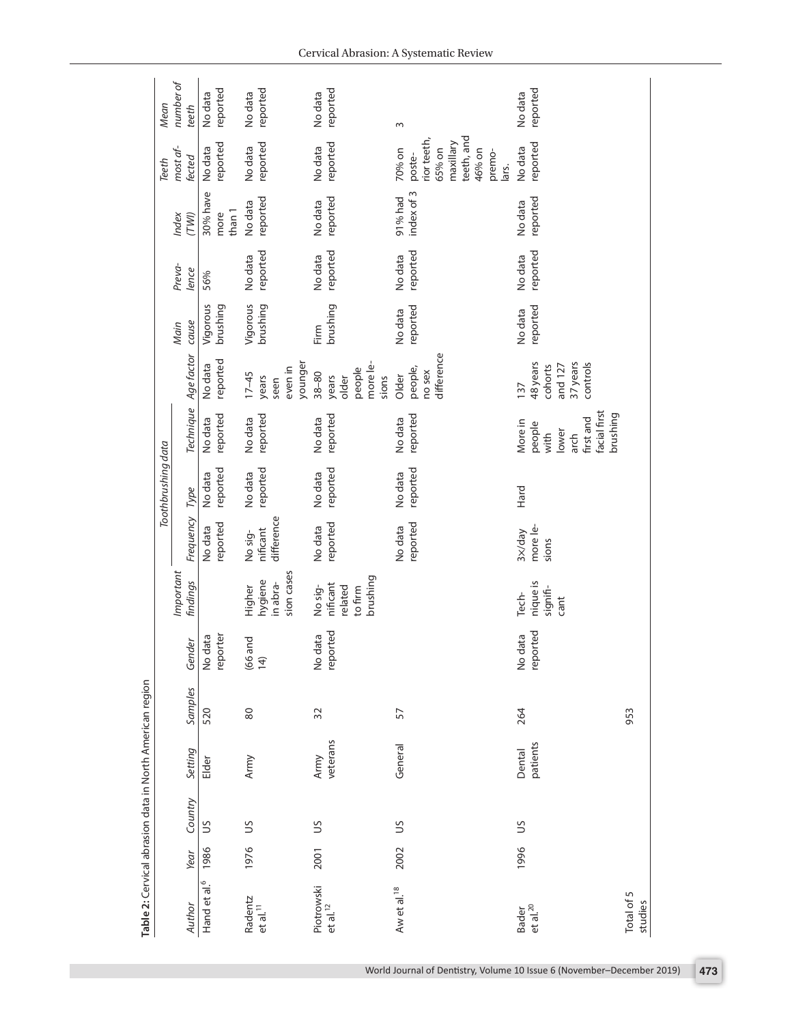| Table 2: Cervical abrasion data in North American region |      |                |          |         |                     |                                            |                        |                     |                                                                          |                                                        |                      |          |                            |                                                                                         |                     |
|----------------------------------------------------------|------|----------------|----------|---------|---------------------|--------------------------------------------|------------------------|---------------------|--------------------------------------------------------------------------|--------------------------------------------------------|----------------------|----------|----------------------------|-----------------------------------------------------------------------------------------|---------------------|
|                                                          |      |                |          |         |                     |                                            |                        | Toothbrushing data  |                                                                          |                                                        |                      |          |                            | Teeth                                                                                   | Mean                |
|                                                          |      |                |          |         |                     | Important                                  |                        |                     |                                                                          |                                                        | Main                 | Preva-   | Index                      | most af-                                                                                | number of           |
| Author                                                   | Year | Country        | Setting  | Samples | Gender              | findings                                   | Frequency              | Type                | Technique                                                                | Age factor                                             | cause                | lence    | (TWI)                      | fected                                                                                  | teeth               |
| Hand et al. <sup>6</sup>                                 | 1986 | S              | Elder    | 520     | reporter<br>No data |                                            | reported<br>No data    | reported<br>No data | reported<br>No data                                                      | reported<br>No data                                    | Vigorous<br>brushing | 56%      | 30% have<br>than 1<br>more | reported<br>No data                                                                     | reported<br>No data |
| Radentz                                                  | 1976 | S              | Army     | 80      |                     | Higher                                     | No sig-                | No data             | No data                                                                  | $17 - 45$                                              | Vigorous             | No data  | No data                    | No data                                                                                 | No data             |
| $et$ al. $11$                                            |      |                |          |         | $(66$ and<br>14)    | sion cases<br>hygiene<br>in abra-          | difference<br>nificant | reported            | reported                                                                 | younger<br>even in<br>years<br>seen                    | brushing             | reported | reported                   | reported                                                                                | reported            |
| Piotrowski                                               | 2001 | S              | Army     | 32      | No data             | No sig-                                    | No data                | No data             | No data                                                                  | $38 - 80$                                              | Firm                 | No data  | No data                    | No data                                                                                 | No data             |
| $et$ al. $^{12}$                                         |      |                | veterans |         | reported            | brushing<br>nificant<br>related<br>to firm | reported               | reported            | reported                                                                 | more le-<br>people<br>sions<br>years<br>older          | brushing             | reported | reported                   | reported                                                                                | reported            |
| Aw et al. <sup>18</sup>                                  | 2002 | $\mathfrak{S}$ | General  | 57      |                     |                                            | No data                | No data             | No data                                                                  | Older                                                  | No data              | No data  | 91% had                    | 70% on                                                                                  | $\omega$            |
|                                                          |      |                |          |         |                     |                                            | reported               | reported            | reported                                                                 | difference<br>people,<br>no sex                        | reported             | reported | index of 3                 | teeth, and<br>rior teeth,<br>maxillary<br>65% on<br>46% on<br>premo-<br>poste-<br>lars. |                     |
| Bader                                                    | 1996 | $\mathfrak{S}$ | Dental   | 264     | No data             | Tech-                                      | 3x/day                 | Hard                | More in                                                                  | 137                                                    | No data              | No data  | No data                    | No data                                                                                 | No data             |
| et al. <sup>20</sup>                                     |      |                | patients |         | reported            | nique is<br>signifi-<br>cant               | more le-<br>sions      |                     | facial first<br>brushing<br>first and<br>people<br>lower<br>with<br>arch | 37 years<br>48 years<br>and 127<br>controls<br>cohorts | reported             | reported | reported                   | reported                                                                                | reported            |
| Total of 5<br>studies                                    |      |                |          | 953     |                     |                                            |                        |                     |                                                                          |                                                        |                      |          |                            |                                                                                         |                     |
|                                                          |      |                |          |         |                     |                                            |                        |                     |                                                                          |                                                        |                      |          |                            |                                                                                         |                     |

World Journal of Dentistry, Volume 10 Issue 6 (November–December 2019) **473**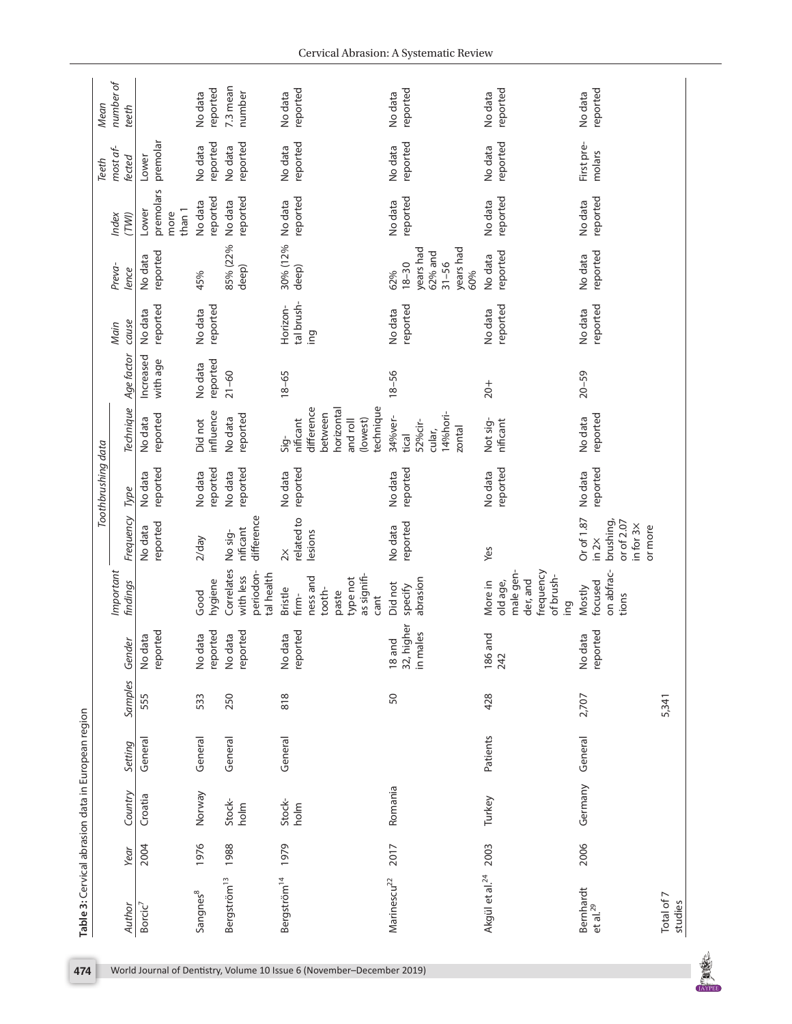|                                   |      |                |          |         |                                     |                                                                                           |                                                                             | Toothbrushing data  |                                                                                              |                       |                               |                                                                           |                                      | Teeth                | Mean                |
|-----------------------------------|------|----------------|----------|---------|-------------------------------------|-------------------------------------------------------------------------------------------|-----------------------------------------------------------------------------|---------------------|----------------------------------------------------------------------------------------------|-----------------------|-------------------------------|---------------------------------------------------------------------------|--------------------------------------|----------------------|---------------------|
| Author                            | Year | Country        | Setting  | Samples | Gender                              | Important<br>findings                                                                     | Frequency                                                                   | Type                | Technique                                                                                    | Age factor            | cause<br>Main                 | Preva-<br>lence                                                           | Index<br>(TWI)                       | most af-<br>fected   | number of<br>teeth  |
| Borcic <sup>7</sup>               | 2004 | Croatia        | General  | 555     | reported<br>No data                 |                                                                                           | reported<br>No data                                                         | reported<br>No data | reported<br>No data                                                                          | Increased<br>with age | reported<br>No data           | reported<br>No data                                                       | premolars<br>than 1<br>Lower<br>more | premolar<br>Lower    |                     |
| Sangnes                           | 1976 | Norway         | General  | 533     | reported<br>data<br>$\frac{1}{2}$   | hygiene<br>Good                                                                           | $2$ /day                                                                    | reported<br>No data | influence<br>Did not                                                                         | reported<br>No data   | reported<br>No data           | 45%                                                                       | reported<br>No data                  | reported<br>No data  | reported<br>No data |
| Bergström <sup>13</sup>           | 1988 | Stock-<br>holm | General  | 250     | reported<br>No data                 | Correlates<br>periodon-<br>tal health<br>with less                                        | difference<br>nificant<br>No sig-                                           | reported<br>No data | reported<br>No data                                                                          | $21 - 60$             |                               | 85% (22%<br>deep)                                                         | reported<br>No data                  | reported<br>No data  | 7.3 mean<br>number  |
| Bergström <sup>14</sup>           | 1979 | Stock-<br>holm | General  | 818     | reported<br>data<br>$\frac{1}{2}$   | as signifi-<br>ness and<br>type not<br><b>Bristle</b><br>tooth-<br>paste<br>firm-<br>cant | related to<br>lesions<br>$\stackrel{\times}{\sim}$                          | reported<br>No data | technique<br>difference<br>horizontal<br>between<br>(lowest)<br>nificant<br>and roll<br>Sig- | $18 - 65$             | tal brush-<br>Horizon-<br>ing | 30% (12%<br>deep)                                                         | reported<br>No data                  | reported<br>No data  | reported<br>No data |
| Marinescu <sup>22</sup>           | 2017 | Romania        |          | 50      | higher<br>in males<br>18 and<br>32, | abrasion<br>Did not<br>specify                                                            | reported<br>No data                                                         | reported<br>No data | 14%hori-<br>34%ver-<br>52%cir-<br>zontal<br>cular,<br>tical                                  | $18 - 56$             | reported<br>No data           | years had<br>years had<br>62% and<br>$31 - 56$<br>$18 - 30$<br>60%<br>62% | reported<br>No data                  | reported<br>No data  | reported<br>No data |
| Akgül et al. <sup>24</sup>        | 2003 | Turkey         | Patients | 428     | and<br>186<br>242                   | male gen-<br>frequency<br>of brush-<br>der, and<br>old age,<br>More in<br>ing             | Yes                                                                         | reported<br>No data | Not sig-<br>nificant                                                                         | $20+$                 | reported<br>No data           | reported<br>No data                                                       | reported<br>No data                  | reported<br>No data  | reported<br>No data |
| Bernhardt<br>et al. <sup>29</sup> | 2006 | Germany        | General  | 2,707   | reported<br>No data                 | on abfrac-<br>focused<br>Mostly<br>tions                                                  | Or of 1.87<br>brushing,<br>or of 2.07<br>in for $3x$<br>or more<br>$\ln 2x$ | reported<br>No data | reported<br>No data                                                                          | $20 - 59$             | reported<br>No data           | reported<br>No data                                                       | reported<br>No data                  | First pre-<br>molars | reported<br>No data |
| Total of 7<br>studies             |      |                |          | 5,341   |                                     |                                                                                           |                                                                             |                     |                                                                                              |                       |                               |                                                                           |                                      |                      |                     |

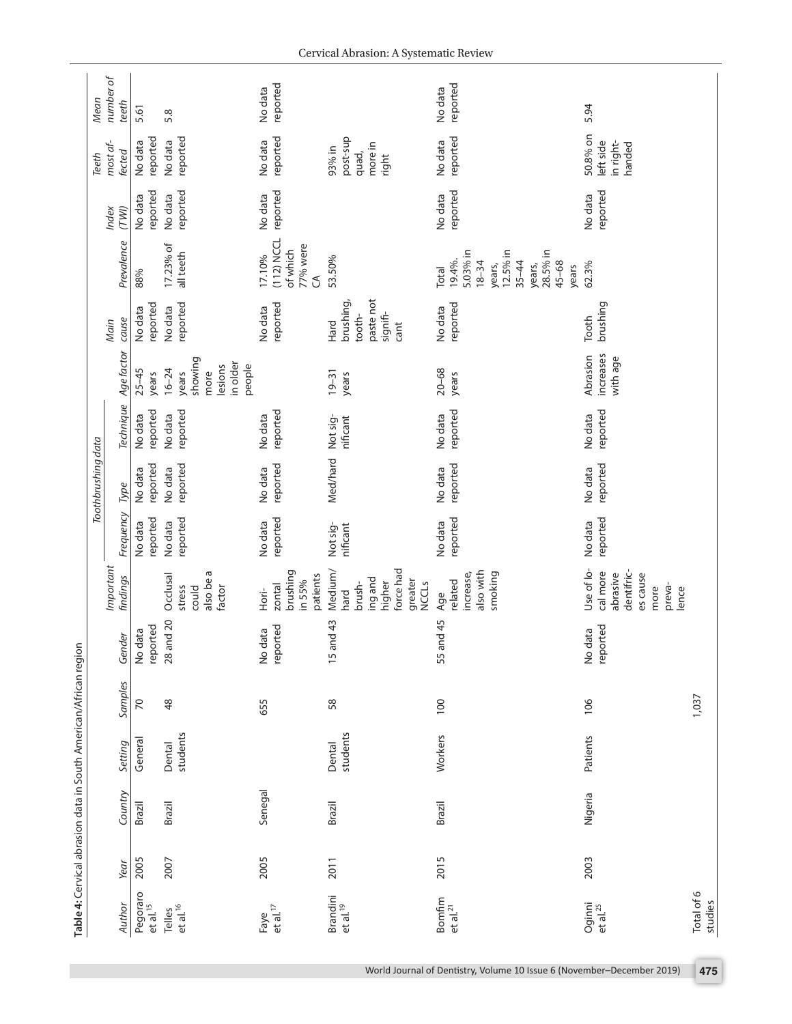|      | Table 4: Cervical abrasion data in South American/African region |                    |                 |                     | Important                                                                               |                      | Toothbrushing data  |                      |                                                                        | Main                                                         |                                                                                                                         | Index               | most af-<br><b>Teeth</b>                        | number of<br>Mean   |
|------|------------------------------------------------------------------|--------------------|-----------------|---------------------|-----------------------------------------------------------------------------------------|----------------------|---------------------|----------------------|------------------------------------------------------------------------|--------------------------------------------------------------|-------------------------------------------------------------------------------------------------------------------------|---------------------|-------------------------------------------------|---------------------|
|      | Country                                                          | Setting            | Samples         | Gender              | findings                                                                                | Frequency            | Type                | Technique            | Age factor                                                             | cause                                                        | Prevalence                                                                                                              | (TWI)               | fected                                          | teeth               |
| 2005 | Brazil                                                           | General            | $\overline{70}$ | reported<br>No data |                                                                                         | reported<br>No data  | reported<br>No data | reported<br>No data  | $25 - 45$<br>years                                                     | reported<br>No data                                          | 88%                                                                                                                     | reported<br>No data | reported<br>No data                             | 5.61                |
| 2007 | Brazil                                                           | students<br>Dental | $\frac{8}{3}$   | 28 and 20           | also be a<br>Occlusal<br>stress<br>factor<br>could                                      | reported<br>No data  | reported<br>No data | reported<br>No data  | showing<br>in older<br>people<br>lesions<br>$16 - 24$<br>more<br>years | reported<br>No data                                          | 17.23% of<br>all teeth                                                                                                  | reported<br>No data | reported<br>No data                             | 5.8                 |
| 2005 | Senegal                                                          |                    | 655             | reported<br>No data | brushing<br>patients<br>in 55%<br>zontal<br>Hori-                                       | reported<br>No data  | reported<br>No data | reported<br>No data  |                                                                        | reported<br>No data                                          | $(112)$ NCCL<br>77% were<br>of which<br>17.10%<br>J                                                                     | reported<br>No data | reported<br>No data                             | reported<br>No data |
| 2011 | Brazil                                                           | students<br>Dental | 58              | 15 and 43           | force had<br>Medium/<br>ing and<br>greater<br>higher<br><b>NCCLS</b><br>brush-<br>hard  | Not sig-<br>nificant | Med/hard            | Not sig-<br>nificant | $19 - 31$<br>years                                                     | paste not<br>brushing,<br>signifi-<br>tooth-<br>Hard<br>cant | 53.50%                                                                                                                  |                     | post-sup<br>more in<br>93% in<br>quad,<br>right |                     |
| 2015 | Brazil                                                           | Workers            | 100             | 55 and 45           | also with<br>smoking<br>increase,<br>related<br>Age                                     | reported<br>No data  | reported<br>No data | reported<br>No data  | $20 - 68$<br>years                                                     | reported<br>No data                                          | 5.03% in<br>12.5% in<br>28.5% in<br>19.4%.<br>$18 - 34$<br>$35 - 44$<br>$45 - 68$<br>years,<br>years,<br>years<br>Total | reported<br>No data | reported<br>No data                             | reported<br>No data |
| 2003 | Nigeria                                                          | Patients           | 106             | reported<br>No data | Use of lo-<br>dentifric-<br>cal more<br>abrasive<br>es cause<br>preva-<br>more<br>lence | reported<br>No data  | reported<br>No data | reported<br>No data  | increases<br>Abrasion<br>with age                                      | brushing<br>Tooth                                            | 62.3%                                                                                                                   | reported<br>No data | 50.8% on<br>left side<br>in right-<br>handed    | 5.94                |
|      |                                                                  |                    | 1,037           |                     |                                                                                         |                      |                     |                      |                                                                        |                                                              |                                                                                                                         |                     |                                                 |                     |

World Journal of Dentistry, Volume 10 Issue 6 (November–December 2019) **475**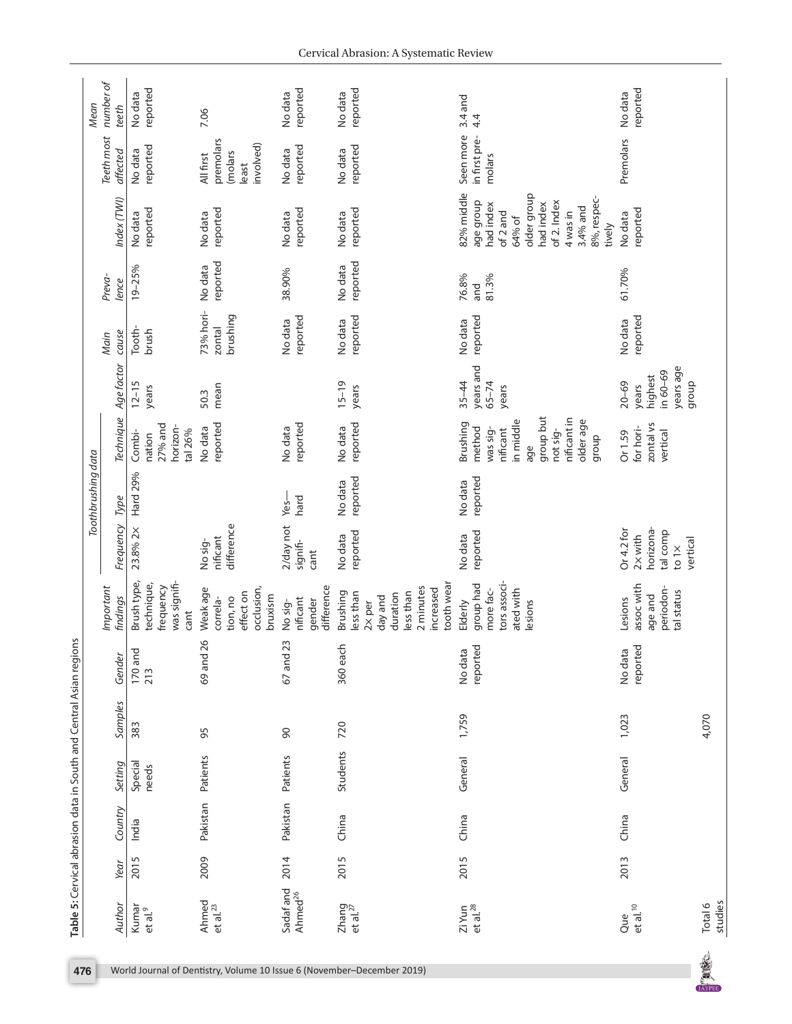|                                  |      |          |                  | Table 5: Cervical abrasion data in South and Central Asian regions |                     |                                                                                                               |                                                                                     |                     |                                                                                                                              |                                                                 |                                 |                       |                                                                                                                                                        |                                                        |                     |
|----------------------------------|------|----------|------------------|--------------------------------------------------------------------|---------------------|---------------------------------------------------------------------------------------------------------------|-------------------------------------------------------------------------------------|---------------------|------------------------------------------------------------------------------------------------------------------------------|-----------------------------------------------------------------|---------------------------------|-----------------------|--------------------------------------------------------------------------------------------------------------------------------------------------------|--------------------------------------------------------|---------------------|
|                                  |      |          |                  |                                                                    |                     |                                                                                                               |                                                                                     | Toothbrushing data  |                                                                                                                              |                                                                 |                                 |                       |                                                                                                                                                        |                                                        | <b>Mean</b>         |
| Author                           | Year | Country  | Setting          | Samples                                                            | Gender              | Important<br>findings                                                                                         | Frequency                                                                           | Type                | Technique                                                                                                                    | Age factor                                                      | cause<br>Main                   | Preva-<br>lence       | Index (TWI)                                                                                                                                            | Teeth most<br>affected                                 | number of<br>teeth  |
| Kumar<br>et al. <sup>9</sup>     | 2015 | India    | Special<br>needs | 383                                                                | 170 and<br>213      | Brush type,<br>was signifi-<br>technique,<br>frequency<br>cant                                                | 23.8% 2×                                                                            | Hard 29%            | $27%$ and<br>horizon-<br>tal 26%<br>Combi-<br>nation                                                                         | $12 - 15$<br>years                                              | Tooth-<br>brush                 | 19-25%                | reported<br>No data                                                                                                                                    | reported<br>No data                                    | reported<br>No data |
| Ahmed<br>et al. <sup>23</sup>    | 2009 | Pakistan | Patients         | 95                                                                 | 26<br>69 and        | Weak age<br>occlusion,<br>effect on<br>bruxism<br>tion, no<br>correla-                                        | difference<br>nificant<br>No sig-                                                   |                     | reported<br>No data                                                                                                          | mean<br>50.3                                                    | 73% hori-<br>brushing<br>zontal | reported<br>No data   | reported<br>No data                                                                                                                                    | premolars<br>involved)<br>molars<br>All first<br>least | 7.06                |
| Sadaf and<br>Ahmed <sup>26</sup> | 2014 | Pakistan | Patients         | $\infty$                                                           | 23<br>67 and        | difference<br>nificant<br>gender<br>No sig-                                                                   | 2/day not<br>signifi-<br>cant                                                       | hard<br>Yes-        | reported<br>No data                                                                                                          |                                                                 | reported<br>No data             | 38.90%                | reported<br>No data                                                                                                                                    | reported<br>No data                                    | reported<br>No data |
| $Z$ hang<br>et al. $^{27}$       | 2015 | China    | Students         | 720                                                                | 360 each            | tooth wear<br>2 minutes<br>increased<br>less than<br>Brushing<br>less than<br>duration<br>day and<br>$2x$ per | reported<br>No data                                                                 | reported<br>No data | reported<br>No data                                                                                                          | $15 - 19$<br>years                                              | reported<br>No data             | reported<br>No data   | reported<br>No data                                                                                                                                    | reported<br>No data                                    | reported<br>No data |
| Zi Yun<br>et al. <sup>28</sup>   | 2015 | China    | General          | 1,759                                                              | reported<br>No data | tors associ-<br>group had<br>ated with<br>more fac-<br>lesions<br>Elderly                                     | reported<br>No data                                                                 | reported<br>No data | group but<br>nificant in<br>older age<br>in middle<br>Brushing<br>method<br>was sig-<br>not sig-<br>nificant<br>dioub<br>age | years and<br>$35 - 44$<br>$65 - 74$<br>years                    | reported<br>No data             | 76.8%<br>81.3%<br>and | 82% middle<br>older group<br>8%, respec-<br>age group<br>of 2. Index<br>had index<br>had index<br>3.4% and<br>of 2 and<br>4 was in<br>64% of<br>tively | Seen more<br>in first pre-<br>molars                   | 3.4 and<br>4.4      |
| $et$ al. $^{10}$<br>Que          | 2013 | China    | General          | 1,023                                                              | reported<br>No data | assoc with<br>periodon-<br>tal status<br>age and<br>Lesions                                                   | horizona-<br>Or 4.2 for<br>tal comp<br>$2 \times$ with<br>vertical<br>to 1 $\times$ |                     | zontal vs<br>for hori-<br>vertical<br>Or 1.59                                                                                | years age<br>in 60-69<br>highest<br>$20 - 69$<br>dronb<br>years | reported<br>No data             | 61.70%                | reported<br>No data                                                                                                                                    | Premolars                                              | reported<br>No data |
| studies<br>Total 6               |      |          |                  | 4,070                                                              |                     |                                                                                                               |                                                                                     |                     |                                                                                                                              |                                                                 |                                 |                       |                                                                                                                                                        |                                                        |                     |

No.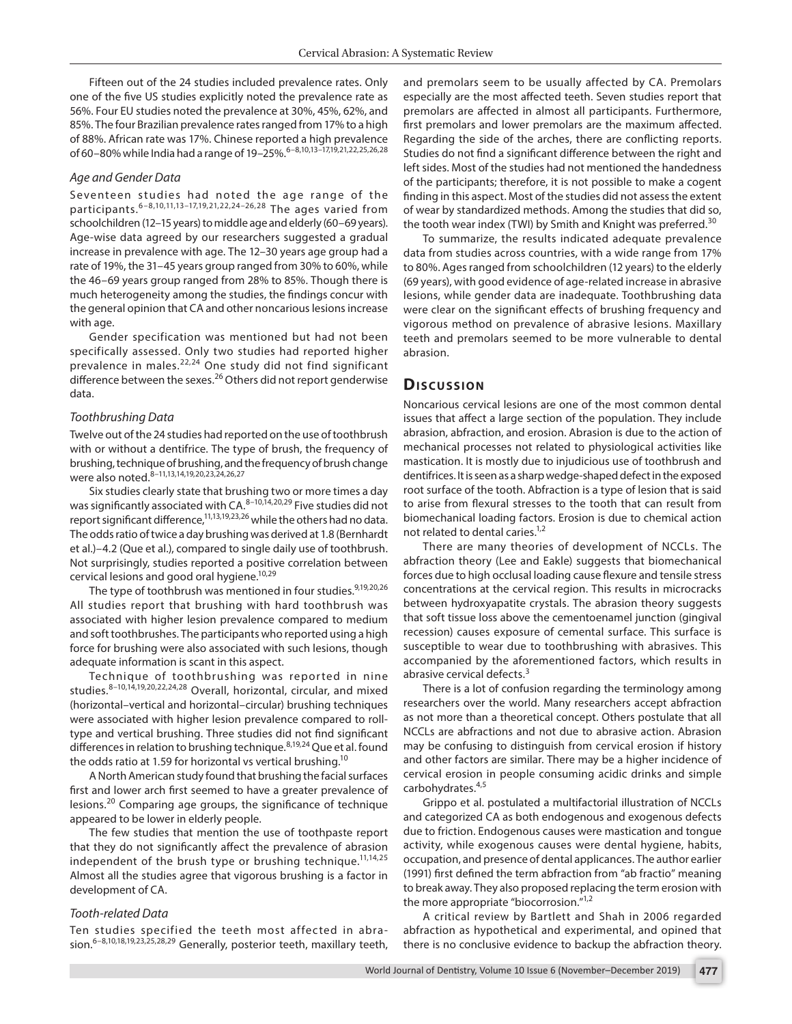Fifteen out of the 24 studies included prevalence rates. Only one of the five US studies explicitly noted the prevalence rate as 56%. Four EU studies noted the prevalence at 30%, 45%, 62%, and 85%. The four Brazilian prevalence rates ranged from 17% to a high of 88%. African rate was 17%. Chinese reported a high prevalence of 60–80% while India had a range of 19–25%. 6-8,10,13-17,19,21,22,25,26,28

#### *Age and Gender Data*

Seventeen studies had noted the age range of the participants.6–8,10,11,13–17,19,21,22,24–26,28 The ages varied from schoolchildren (12–15 years) to middle age and elderly (60–69 years). Age-wise data agreed by our researchers suggested a gradual increase in prevalence with age. The 12–30 years age group had a rate of 19%, the 31–45 years group ranged from 30% to 60%, while the 46–69 years group ranged from 28% to 85%. Though there is much heterogeneity among the studies, the findings concur with the general opinion that CA and other noncarious lesions increase with age.

Gender specification was mentioned but had not been specifically assessed. Only two studies had reported higher prevalence in males.<sup>22,24</sup> One study did not find significant difference between the sexes.<sup>26</sup> Others did not report genderwise data.

#### *Toothbrushing Data*

Twelve out of the 24 studies had reported on the use of toothbrush with or without a dentifrice. The type of brush, the frequency of brushing, technique of brushing, and the frequency of brush change were also noted.<sup>8-11,13,14,19,20,23,24,26,27</sup>

Six studies clearly state that brushing two or more times a day was significantly associated with CA.<sup>8-10,14,20,29</sup> Five studies did not report significant difference, $11,13,19,23,26$  while the others had no data. The odds ratio of twice a day brushing was derived at 1.8 (Bernhardt et al.)–4.2 (Que et al.), compared to single daily use of toothbrush. Not surprisingly, studies reported a positive correlation between cervical lesions and good oral hygiene.<sup>10,29</sup>

The type of toothbrush was mentioned in four studies.<sup>9,19,20,26</sup> All studies report that brushing with hard toothbrush was associated with higher lesion prevalence compared to medium and soft toothbrushes. The participants who reported using a high force for brushing were also associated with such lesions, though adequate information is scant in this aspect.

Technique of toothbrushing was reported in nine studies.<sup>8-10,14,19,20,22,24,28</sup> Overall, horizontal, circular, and mixed (horizontal–vertical and horizontal–circular) brushing techniques were associated with higher lesion prevalence compared to rolltype and vertical brushing. Three studies did not find significant differences in relation to brushing technique.<sup>8,19,24</sup> Que et al. found the odds ratio at 1.59 for horizontal vs vertical brushing.<sup>10</sup>

A North American study found that brushing the facial surfaces first and lower arch first seemed to have a greater prevalence of lesions.20 Comparing age groups, the significance of technique appeared to be lower in elderly people.

The few studies that mention the use of toothpaste report that they do not significantly affect the prevalence of abrasion independent of the brush type or brushing technique.<sup>11,14,25</sup> Almost all the studies agree that vigorous brushing is a factor in development of CA.

### *Tooth-related Data*

Ten studies specified the teeth most affected in abrasion.<sup>6–8,10,18,19,23,25,28,29</sup> Generally, posterior teeth, maxillary teeth, and premolars seem to be usually affected by CA. Premolars especially are the most affected teeth. Seven studies report that premolars are affected in almost all participants. Furthermore, first premolars and lower premolars are the maximum affected. Regarding the side of the arches, there are conflicting reports. Studies do not find a significant difference between the right and left sides. Most of the studies had not mentioned the handedness of the participants; therefore, it is not possible to make a cogent finding in this aspect. Most of the studies did not assess the extent of wear by standardized methods. Among the studies that did so, the tooth wear index (TWI) by Smith and Knight was preferred.<sup>30</sup>

To summarize, the results indicated adequate prevalence data from studies across countries, with a wide range from 17% to 80%. Ages ranged from schoolchildren (12 years) to the elderly (69 years), with good evidence of age-related increase in abrasive lesions, while gender data are inadequate. Toothbrushing data were clear on the significant effects of brushing frequency and vigorous method on prevalence of abrasive lesions. Maxillary teeth and premolars seemed to be more vulnerable to dental abrasion.

#### **Discussion**

Noncarious cervical lesions are one of the most common dental issues that affect a large section of the population. They include abrasion, abfraction, and erosion. Abrasion is due to the action of mechanical processes not related to physiological activities like mastication. It is mostly due to injudicious use of toothbrush and dentifrices. It is seen as a sharp wedge-shaped defect in the exposed root surface of the tooth. Abfraction is a type of lesion that is said to arise from flexural stresses to the tooth that can result from biomechanical loading factors. Erosion is due to chemical action not related to dental caries.<sup>1,2</sup>

There are many theories of development of NCCLs. The abfraction theory (Lee and Eakle) suggests that biomechanical forces due to high occlusal loading cause flexure and tensile stress concentrations at the cervical region. This results in microcracks between hydroxyapatite crystals. The abrasion theory suggests that soft tissue loss above the cementoenamel junction (gingival recession) causes exposure of cemental surface. This surface is susceptible to wear due to toothbrushing with abrasives. This accompanied by the aforementioned factors, which results in abrasive cervical defects.<sup>3</sup>

There is a lot of confusion regarding the terminology among researchers over the world. Many researchers accept abfraction as not more than a theoretical concept. Others postulate that all NCCLs are abfractions and not due to abrasive action. Abrasion may be confusing to distinguish from cervical erosion if history and other factors are similar. There may be a higher incidence of cervical erosion in people consuming acidic drinks and simple carbohydrates.4,5

Grippo et al. postulated a multifactorial illustration of NCCLs and categorized CA as both endogenous and exogenous defects due to friction. Endogenous causes were mastication and tongue activity, while exogenous causes were dental hygiene, habits, occupation, and presence of dental applicances. The author earlier (1991) first defined the term abfraction from "ab fractio" meaning to break away. They also proposed replacing the term erosion with the more appropriate "biocorrosion."<sup>1,2</sup>

A critical review by Bartlett and Shah in 2006 regarded abfraction as hypothetical and experimental, and opined that there is no conclusive evidence to backup the abfraction theory.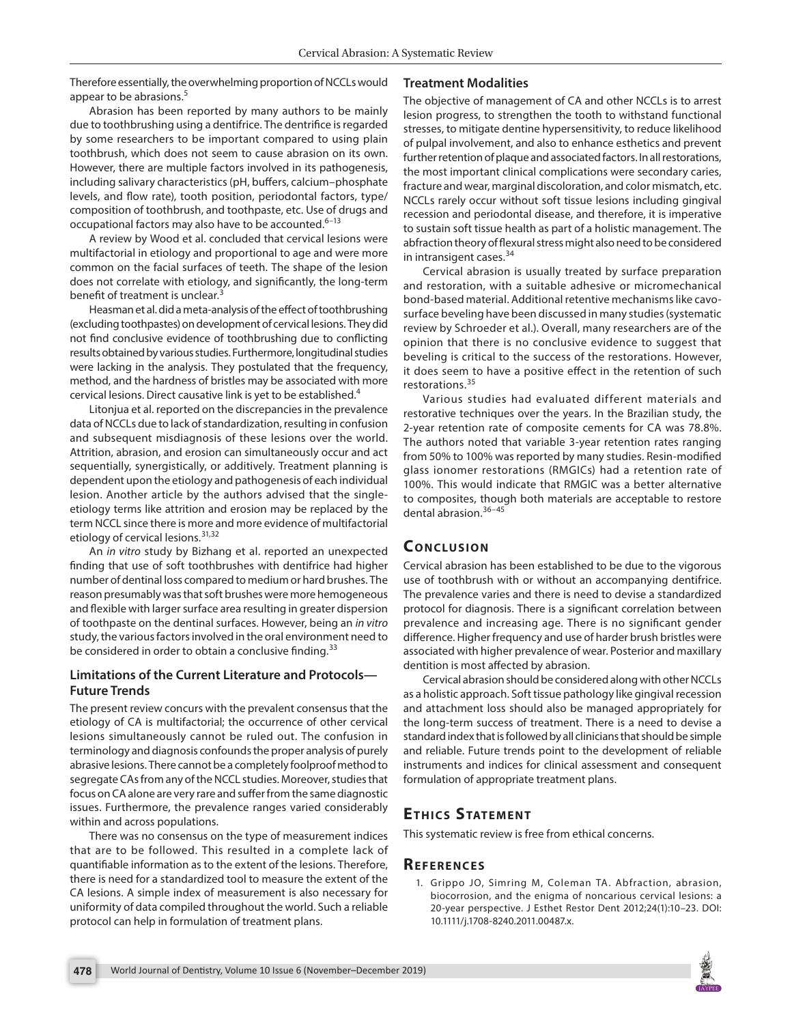Therefore essentially, the overwhelming proportion of NCCLs would appear to be abrasions.<sup>5</sup>

## **Treatment Modalities**

Abrasion has been reported by many authors to be mainly due to toothbrushing using a dentifrice. The dentrifice is regarded by some researchers to be important compared to using plain toothbrush, which does not seem to cause abrasion on its own. However, there are multiple factors involved in its pathogenesis, including salivary characteristics (pH, buffers, calcium–phosphate levels, and flow rate), tooth position, periodontal factors, type/ composition of toothbrush, and toothpaste, etc. Use of drugs and occupational factors may also have to be accounted.<sup>6-13</sup>

A review by Wood et al. concluded that cervical lesions were multifactorial in etiology and proportional to age and were more common on the facial surfaces of teeth. The shape of the lesion does not correlate with etiology, and significantly, the long-term benefit of treatment is unclear.<sup>3</sup>

Heasman et al. did a meta-analysis of the effect of toothbrushing (excluding toothpastes) on development of cervical lesions. They did not find conclusive evidence of toothbrushing due to conflicting results obtained by various studies. Furthermore, longitudinal studies were lacking in the analysis. They postulated that the frequency, method, and the hardness of bristles may be associated with more cervical lesions. Direct causative link is yet to be established.4

Litonjua et al. reported on the discrepancies in the prevalence data of NCCLs due to lack of standardization, resulting in confusion and subsequent misdiagnosis of these lesions over the world. Attrition, abrasion, and erosion can simultaneously occur and act sequentially, synergistically, or additively. Treatment planning is dependent upon the etiology and pathogenesis of each individual lesion. Another article by the authors advised that the singleetiology terms like attrition and erosion may be replaced by the term NCCL since there is more and more evidence of multifactorial etiology of cervical lesions.<sup>31,32</sup>

An *in vitro* study by Bizhang et al. reported an unexpected finding that use of soft toothbrushes with dentifrice had higher number of dentinal loss compared to medium or hard brushes. The reason presumably was that soft brushes were more hemogeneous and flexible with larger surface area resulting in greater dispersion of toothpaste on the dentinal surfaces. However, being an *in vitro* study, the various factors involved in the oral environment need to be considered in order to obtain a conclusive finding.<sup>33</sup>

## **Limitations of the Current Literature and Protocols— Future Trends**

The present review concurs with the prevalent consensus that the etiology of CA is multifactorial; the occurrence of other cervical lesions simultaneously cannot be ruled out. The confusion in terminology and diagnosis confounds the proper analysis of purely abrasive lesions. There cannot be a completely foolproof method to segregate CAs from any of the NCCL studies. Moreover, studies that focus on CA alone are very rare and suffer from the same diagnostic issues. Furthermore, the prevalence ranges varied considerably within and across populations.

There was no consensus on the type of measurement indices that are to be followed. This resulted in a complete lack of quantifiable information as to the extent of the lesions. Therefore, there is need for a standardized tool to measure the extent of the CA lesions. A simple index of measurement is also necessary for uniformity of data compiled throughout the world. Such a reliable protocol can help in formulation of treatment plans.

The objective of management of CA and other NCCLs is to arrest lesion progress, to strengthen the tooth to withstand functional stresses, to mitigate dentine hypersensitivity, to reduce likelihood of pulpal involvement, and also to enhance esthetics and prevent further retention of plaque and associated factors. In all restorations, the most important clinical complications were secondary caries, fracture and wear, marginal discoloration, and color mismatch, etc. NCCLs rarely occur without soft tissue lesions including gingival recession and periodontal disease, and therefore, it is imperative to sustain soft tissue health as part of a holistic management. The abfraction theory of flexural stress might also need to be considered in intransigent cases.<sup>34</sup>

Cervical abrasion is usually treated by surface preparation and restoration, with a suitable adhesive or micromechanical bond-based material. Additional retentive mechanisms like cavosurface beveling have been discussed in many studies (systematic review by Schroeder et al.). Overall, many researchers are of the opinion that there is no conclusive evidence to suggest that beveling is critical to the success of the restorations. However, it does seem to have a positive effect in the retention of such restorations.<sup>35</sup>

Various studies had evaluated different materials and restorative techniques over the years. In the Brazilian study, the 2-year retention rate of composite cements for CA was 78.8%. The authors noted that variable 3-year retention rates ranging from 50% to 100% was reported by many studies. Resin-modified glass ionomer restorations (RMGICs) had a retention rate of 100%. This would indicate that RMGIC was a better alternative to composites, though both materials are acceptable to restore dental abrasion.<sup>36-45</sup>

# **CONCLUSION**

Cervical abrasion has been established to be due to the vigorous use of toothbrush with or without an accompanying dentifrice. The prevalence varies and there is need to devise a standardized protocol for diagnosis. There is a significant correlation between prevalence and increasing age. There is no significant gender difference. Higher frequency and use of harder brush bristles were associated with higher prevalence of wear. Posterior and maxillary dentition is most affected by abrasion.

Cervical abrasion should be considered along with other NCCLs as a holistic approach. Soft tissue pathology like gingival recession and attachment loss should also be managed appropriately for the long-term success of treatment. There is a need to devise a standard index that is followed by all clinicians that should be simple and reliable. Future trends point to the development of reliable instruments and indices for clinical assessment and consequent formulation of appropriate treatment plans.

# **ETHICS STATEMENT**

This systematic review is free from ethical concerns.

## **Re f e r e n c e s**

1. Grippo JO, Simring M, Coleman TA. Abfraction, abrasion, biocorrosion, and the enigma of noncarious cervical lesions: a 20-year perspective. J Esthet Restor Dent 2012;24(1):10–23. DOI: 10.1111/j.1708-8240.2011.00487.x.

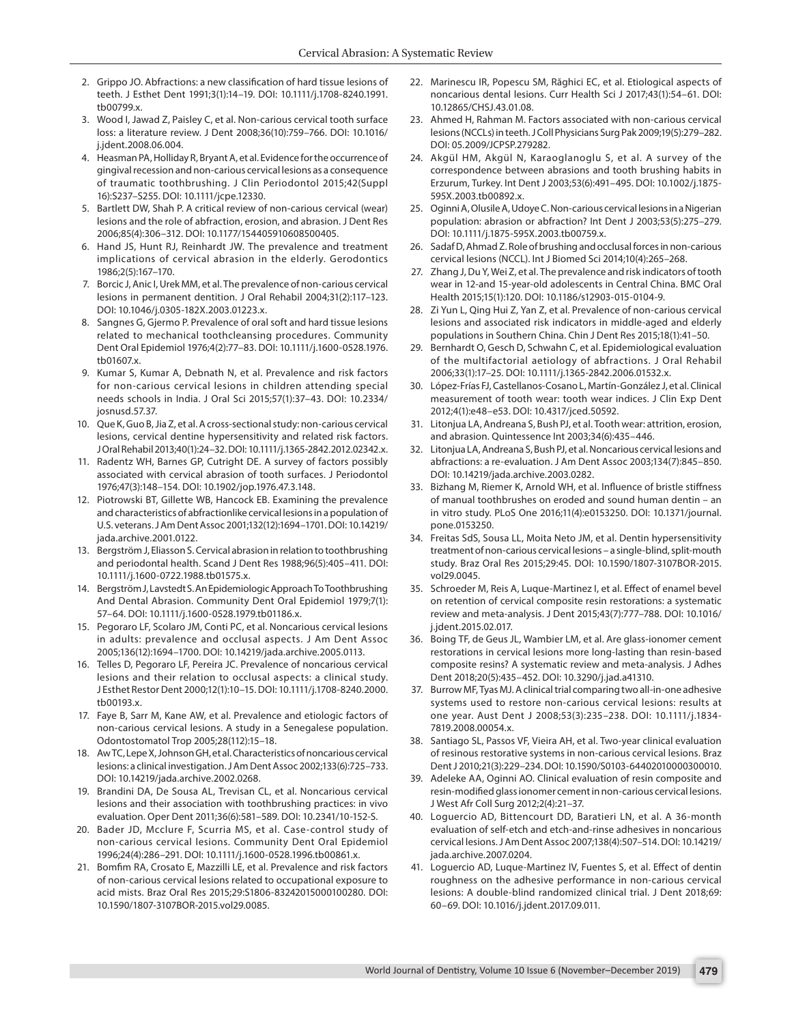- 2. Grippo JO. Abfractions: a new classification of hard tissue lesions of teeth. J Esthet Dent 1991;3(1):14–19. DOI: 10.1111/j.1708-8240.1991. tb00799.x.
- 3. Wood I, Jawad Z, Paisley C, et al. Non-carious cervical tooth surface loss: a literature review. J Dent 2008;36(10):759–766. DOI: 10.1016/ j.jdent.2008.06.004.
- 4. Heasman PA, Holliday R, Bryant A, et al. Evidence for the occurrence of gingival recession and non-carious cervical lesions as a consequence of traumatic toothbrushing. J Clin Periodontol 2015;42(Suppl 16):S237–S255. DOI: 10.1111/jcpe.12330.
- 5. Bartlett DW, Shah P. A critical review of non-carious cervical (wear) lesions and the role of abfraction, erosion, and abrasion. J Dent Res 2006;85(4):306–312. DOI: 10.1177/154405910608500405.
- 6. Hand JS, Hunt RJ, Reinhardt JW. The prevalence and treatment implications of cervical abrasion in the elderly. Gerodontics 1986;2(5):167–170.
- 7. Borcic J, Anic I, Urek MM, et al. The prevalence of non-carious cervical lesions in permanent dentition. J Oral Rehabil 2004;31(2):117–123. DOI: 10.1046/j.0305-182X.2003.01223.x.
- 8. Sangnes G, Gjermo P. Prevalence of oral soft and hard tissue lesions related to mechanical toothcleansing procedures. Community Dent Oral Epidemiol 1976;4(2):77–83. DOI: 10.1111/j.1600-0528.1976. tb01607.x.
- 9. Kumar S, Kumar A, Debnath N, et al. Prevalence and risk factors for non-carious cervical lesions in children attending special needs schools in India. J Oral Sci 2015;57(1):37–43. DOI: 10.2334/ josnusd.57.37.
- 10. Que K, Guo B, Jia Z, et al. A cross‐sectional study: non‐carious cervical lesions, cervical dentine hypersensitivity and related risk factors. J Oral Rehabil 2013;40(1):24–32. DOI: 10.1111/j.1365-2842.2012.02342.x.
- 11. Radentz WH, Barnes GP, Cutright DE. A survey of factors possibly associated with cervical abrasion of tooth surfaces. J Periodontol 1976;47(3):148–154. DOI: 10.1902/jop.1976.47.3.148.
- 12. Piotrowski BT, Gillette WB, Hancock EB. Examining the prevalence and characteristics of abfractionlike cervical lesions in a population of U.S. veterans. J Am Dent Assoc 2001;132(12):1694–1701. DOI: 10.14219/ jada.archive.2001.0122.
- 13. Bergström J, Eliasson S. Cervical abrasion in relation to toothbrushing and periodontal health. Scand J Dent Res 1988;96(5):405–411. DOI: 10.1111/j.1600-0722.1988.tb01575.x.
- 14. Bergström J, Lavstedt S. An Epidemiologic Approach To Toothbrushing And Dental Abrasion. Community Dent Oral Epidemiol 1979;7(1): 57–64. DOI: 10.1111/j.1600-0528.1979.tb01186.x.
- 15. Pegoraro LF, Scolaro JM, Conti PC, et al. Noncarious cervical lesions in adults: prevalence and occlusal aspects. J Am Dent Assoc 2005;136(12):1694–1700. DOI: 10.14219/jada.archive.2005.0113.
- 16. Telles D, Pegoraro LF, Pereira JC. Prevalence of noncarious cervical lesions and their relation to occlusal aspects: a clinical study. J Esthet Restor Dent 2000;12(1):10–15. DOI: 10.1111/j.1708-8240.2000. tb00193.x.
- 17. Faye B, Sarr M, Kane AW, et al. Prevalence and etiologic factors of non-carious cervical lesions. A study in a Senegalese population. Odontostomatol Trop 2005;28(112):15–18.
- 18. Aw TC, Lepe X, Johnson GH, et al. Characteristics of noncarious cervical lesions: a clinical investigation. J Am Dent Assoc 2002;133(6):725–733. DOI: 10.14219/jada.archive.2002.0268.
- 19. Brandini DA, De Sousa AL, Trevisan CL, et al. Noncarious cervical lesions and their association with toothbrushing practices: in vivo evaluation. Oper Dent 2011;36(6):581–589. DOI: 10.2341/10-152-S.
- 20. Bader JD, Mcclure F, Scurria MS, et al. Case-control study of non-carious cervical lesions. Community Dent Oral Epidemiol 1996;24(4):286–291. DOI: 10.1111/j.1600-0528.1996.tb00861.x.
- 21. Bomfim RA, Crosato E, Mazzilli LE, et al. Prevalence and risk factors of non-carious cervical lesions related to occupational exposure to acid mists. Braz Oral Res 2015;29:S1806-83242015000100280. DOI: 10.1590/1807-3107BOR-2015.vol29.0085.
- 22. Marinescu IR, Popescu SM, Răghici EC, et al. Etiological aspects of noncarious dental lesions. Curr Health Sci J 2017;43(1):54–61. DOI: 10.12865/CHSJ.43.01.08.
- 23. Ahmed H, Rahman M. Factors associated with non-carious cervical lesions (NCCLs) in teeth. J Coll Physicians Surg Pak 2009;19(5):279–282. DOI: 05.2009/JCPSP.279282.
- 24. Akgül HM, Akgül N, Karaoglanoglu S, et al. A survey of the correspondence between abrasions and tooth brushing habits in Erzurum, Turkey. Int Dent J 2003;53(6):491–495. DOI: 10.1002/j.1875- 595X.2003.tb00892.x.
- 25. Oginni A, Olusile A, Udoye C. Non-carious cervical lesions in a Nigerian population: abrasion or abfraction? Int Dent J 2003;53(5):275–279. DOI: 10.1111/j.1875-595X.2003.tb00759.x.
- 26. Sadaf D, Ahmad Z. Role of brushing and occlusal forces in non-carious cervical lesions (NCCL). Int J Biomed Sci 2014;10(4):265–268.
- 27. Zhang J, Du Y, Wei Z, et al. The prevalence and risk indicators of tooth wear in 12-and 15-year-old adolescents in Central China. BMC Oral Health 2015;15(1):120. DOI: 10.1186/s12903-015-0104-9.
- 28. Zi Yun L, Qing Hui Z, Yan Z, et al. Prevalence of non-carious cervical lesions and associated risk indicators in middle-aged and elderly populations in Southern China. Chin J Dent Res 2015;18(1):41–50.
- 29. Bernhardt O, Gesch D, Schwahn C, et al. Epidemiological evaluation of the multifactorial aetiology of abfractions. J Oral Rehabil 2006;33(1):17–25. DOI: 10.1111/j.1365-2842.2006.01532.x.
- 30. López-Frías FJ, Castellanos-Cosano L, Martín-González J, et al. Clinical measurement of tooth wear: tooth wear indices. J Clin Exp Dent 2012;4(1):e48–e53. DOI: 10.4317/jced.50592.
- 31. Litonjua LA, Andreana S, Bush PJ, et al. Tooth wear: attrition, erosion, and abrasion. Quintessence Int 2003;34(6):435–446.
- 32. Litonjua LA, Andreana S, Bush PJ, et al. Noncarious cervical lesions and abfractions: a re-evaluation. J Am Dent Assoc 2003;134(7):845–850. DOI: 10.14219/jada.archive.2003.0282.
- 33. Bizhang M, Riemer K, Arnold WH, et al. Influence of bristle stiffness of manual toothbrushes on eroded and sound human dentin – an in vitro study. PLoS One 2016;11(4):e0153250. DOI: 10.1371/journal. pone.0153250.
- 34. Freitas SdS, Sousa LL, Moita Neto JM, et al. Dentin hypersensitivity treatment of non-carious cervical lesions – a single-blind, split-mouth study. Braz Oral Res 2015;29:45. DOI: 10.1590/1807-3107BOR-2015. vol29.0045.
- 35. Schroeder M, Reis A, Luque-Martinez I, et al. Effect of enamel bevel on retention of cervical composite resin restorations: a systematic review and meta-analysis. J Dent 2015;43(7):777–788. DOI: 10.1016/ j.jdent.2015.02.017.
- 36. Boing TF, de Geus JL, Wambier LM, et al. Are glass-ionomer cement restorations in cervical lesions more long-lasting than resin-based composite resins? A systematic review and meta-analysis. J Adhes Dent 2018;20(5):435–452. DOI: 10.3290/j.jad.a41310.
- 37. Burrow MF, Tyas MJ. A clinical trial comparing two all‐in‐one adhesive systems used to restore non‐carious cervical lesions: results at one year. Aust Dent J 2008;53(3):235–238. DOI: 10.1111/j.1834- 7819.2008.00054.x.
- 38. Santiago SL, Passos VF, Vieira AH, et al. Two-year clinical evaluation of resinous restorative systems in non-carious cervical lesions. Braz Dent J 2010;21(3):229–234. DOI: 10.1590/S0103-64402010000300010.
- 39. Adeleke AA, Oginni AO. Clinical evaluation of resin composite and resin-modified glass ionomer cement in non-carious cervical lesions. J West Afr Coll Surg 2012;2(4):21–37.
- 40. Loguercio AD, Bittencourt DD, Baratieri LN, et al. A 36-month evaluation of self-etch and etch-and-rinse adhesives in noncarious cervical lesions. J Am Dent Assoc 2007;138(4):507–514. DOI: 10.14219/ jada.archive.2007.0204.
- 41. Loguercio AD, Luque-Martinez IV, Fuentes S, et al. Effect of dentin roughness on the adhesive performance in non-carious cervical lesions: A double-blind randomized clinical trial. J Dent 2018;69: 60–69. DOI: 10.1016/j.jdent.2017.09.011.